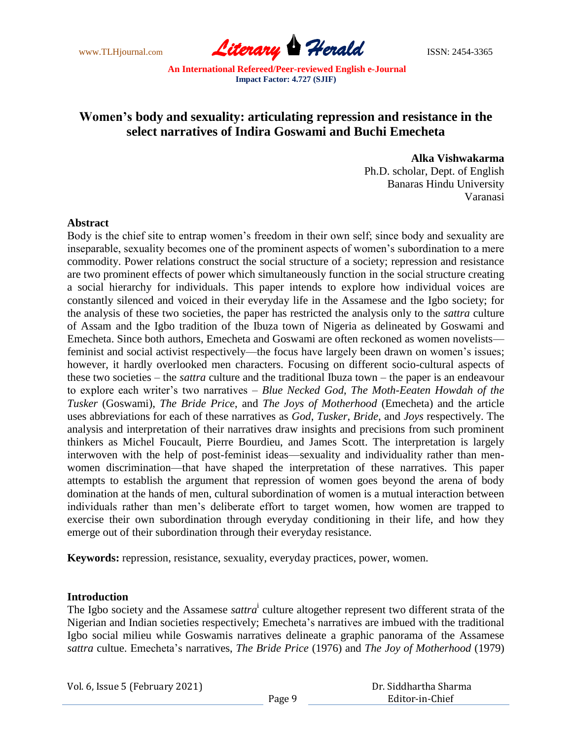

# **Women's body and sexuality: articulating repression and resistance in the select narratives of Indira Goswami and Buchi Emecheta**

#### **Alka Vishwakarma**

Ph.D. scholar, Dept. of English Banaras Hindu University Varanasi

### **Abstract**

Body is the chief site to entrap women"s freedom in their own self; since body and sexuality are inseparable, sexuality becomes one of the prominent aspects of women's subordination to a mere commodity. Power relations construct the social structure of a society; repression and resistance are two prominent effects of power which simultaneously function in the social structure creating a social hierarchy for individuals. This paper intends to explore how individual voices are constantly silenced and voiced in their everyday life in the Assamese and the Igbo society; for the analysis of these two societies, the paper has restricted the analysis only to the *sattra* culture of Assam and the Igbo tradition of the Ibuza town of Nigeria as delineated by Goswami and Emecheta. Since both authors, Emecheta and Goswami are often reckoned as women novelists–– feminist and social activist respectively—the focus have largely been drawn on women's issues; however, it hardly overlooked men characters. Focusing on different socio-cultural aspects of these two societies – the *sattra* culture and the traditional Ibuza town – the paper is an endeavour to explore each writer"s two narratives – *Blue Necked God*, *The Moth-Eeaten Howdah of the Tusker* (Goswami), *The Bride Price*, and *The Joys of Motherhood* (Emecheta) and the article uses abbreviations for each of these narratives as *God*, *Tusker*, *Bride*, and *Joys* respectively. The analysis and interpretation of their narratives draw insights and precisions from such prominent thinkers as Michel Foucault, Pierre Bourdieu, and James Scott. The interpretation is largely interwoven with the help of post-feminist ideas––sexuality and individuality rather than menwomen discrimination––that have shaped the interpretation of these narratives. This paper attempts to establish the argument that repression of women goes beyond the arena of body domination at the hands of men, cultural subordination of women is a mutual interaction between individuals rather than men"s deliberate effort to target women, how women are trapped to exercise their own subordination through everyday conditioning in their life, and how they emerge out of their subordination through their everyday resistance.

**Keywords:** repression, resistance, sexuality, everyday practices, power, women.

### **Introduction**

The Igbo society and the Assamese *sattra*<sup>i</sup> culture altogether represent two different strata of the Nigerian and Indian societies respectively; Emecheta"s narratives are imbued with the traditional Igbo social milieu while Goswamis narratives delineate a graphic panorama of the Assamese *sattra* cultue. Emecheta"s narratives, *The Bride Price* (1976) and *The Joy of Motherhood* (1979)

| Dr. Siddhartha Sharma |  |
|-----------------------|--|
| Editor-in-Chief       |  |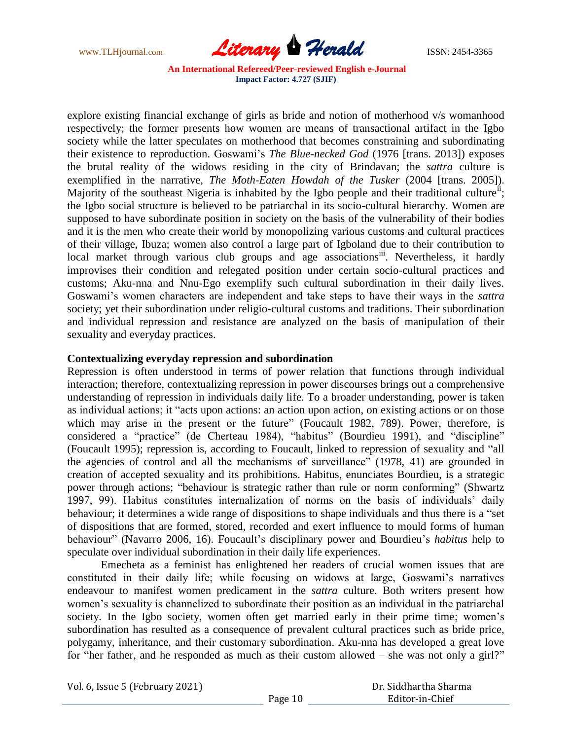

explore existing financial exchange of girls as bride and notion of motherhood v/s womanhood respectively; the former presents how women are means of transactional artifact in the Igbo society while the latter speculates on motherhood that becomes constraining and subordinating their existence to reproduction. Goswami"s *The Blue-necked God* (1976 [trans. 2013]) exposes the brutal reality of the widows residing in the city of Brindavan; the *sattra* culture is exemplified in the narrative, *The Moth-Eaten Howdah of the Tusker* (2004 [trans. 2005]). Majority of the southeast Nigeria is inhabited by the Igbo people and their traditional culture<sup>ii</sup>; the Igbo social structure is believed to be patriarchal in its socio-cultural hierarchy. Women are supposed to have subordinate position in society on the basis of the vulnerability of their bodies and it is the men who create their world by monopolizing various customs and cultural practices of their village, Ibuza; women also control a large part of Igboland due to their contribution to local market through various club groups and age associations<sup>iii</sup>. Nevertheless, it hardly improvises their condition and relegated position under certain socio-cultural practices and customs; Aku-nna and Nnu-Ego exemplify such cultural subordination in their daily lives. Goswami's women characters are independent and take steps to have their ways in the *sattra* society; yet their subordination under religio-cultural customs and traditions. Their subordination and individual repression and resistance are analyzed on the basis of manipulation of their sexuality and everyday practices.

### **Contextualizing everyday repression and subordination**

Repression is often understood in terms of power relation that functions through individual interaction; therefore, contextualizing repression in power discourses brings out a comprehensive understanding of repression in individuals daily life. To a broader understanding, power is taken as individual actions; it "acts upon actions: an action upon action, on existing actions or on those which may arise in the present or the future" (Foucault 1982, 789). Power, therefore, is considered a "practice" (de Cherteau 1984), "habitus" (Bourdieu 1991), and "discipline" (Foucault 1995); repression is, according to Foucault, linked to repression of sexuality and "all the agencies of control and all the mechanisms of surveillance" (1978, 41) are grounded in creation of accepted sexuality and its prohibitions. Habitus, enunciates Bourdieu, is a strategic power through actions; "behaviour is strategic rather than rule or norm conforming" (Shwartz 1997, 99). Habitus constitutes internalization of norms on the basis of individuals" daily behaviour; it determines a wide range of dispositions to shape individuals and thus there is a "set of dispositions that are formed, stored, recorded and exert influence to mould forms of human behaviour" (Navarro 2006, 16). Foucault's disciplinary power and Bourdieu's *habitus* help to speculate over individual subordination in their daily life experiences.

Emecheta as a feminist has enlightened her readers of crucial women issues that are constituted in their daily life; while focusing on widows at large, Goswami's narratives endeavour to manifest women predicament in the *sattra* culture. Both writers present how women"s sexuality is channelized to subordinate their position as an individual in the patriarchal society. In the Igbo society, women often get married early in their prime time; women's subordination has resulted as a consequence of prevalent cultural practices such as bride price, polygamy, inheritance, and their customary subordination. Aku-nna has developed a great love for "her father, and he responded as much as their custom allowed – she was not only a girl?"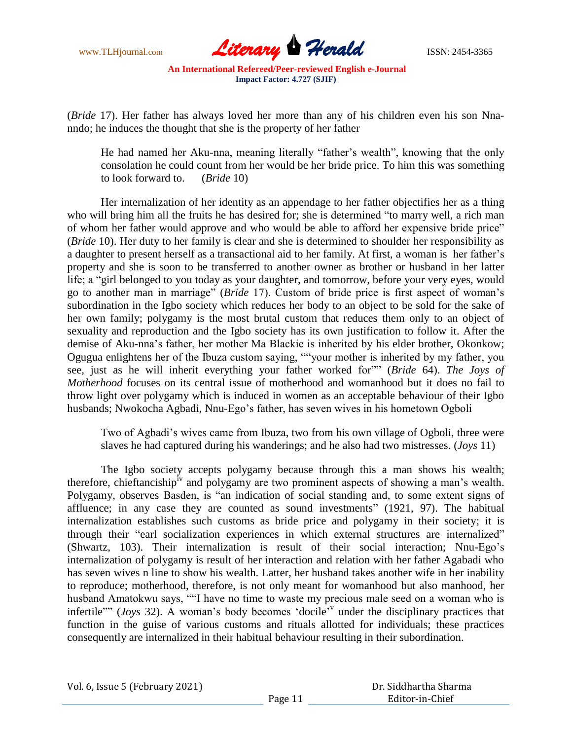

(*Bride* 17). Her father has always loved her more than any of his children even his son Nnanndo; he induces the thought that she is the property of her father

He had named her Aku-nna, meaning literally "father's wealth", knowing that the only consolation he could count from her would be her bride price. To him this was something to look forward to. (*Bride* 10)

Her internalization of her identity as an appendage to her father objectifies her as a thing who will bring him all the fruits he has desired for; she is determined "to marry well, a rich man of whom her father would approve and who would be able to afford her expensive bride price" (*Bride* 10). Her duty to her family is clear and she is determined to shoulder her responsibility as a daughter to present herself as a transactional aid to her family. At first, a woman is her father"s property and she is soon to be transferred to another owner as brother or husband in her latter life; a "girl belonged to you today as your daughter, and tomorrow, before your very eyes, would go to another man in marriage" (*Bride* 17). Custom of bride price is first aspect of woman"s subordination in the Igbo society which reduces her body to an object to be sold for the sake of her own family; polygamy is the most brutal custom that reduces them only to an object of sexuality and reproduction and the Igbo society has its own justification to follow it. After the demise of Aku-nna"s father, her mother Ma Blackie is inherited by his elder brother, Okonkow; Ogugua enlightens her of the Ibuza custom saying, ""your mother is inherited by my father, you see, just as he will inherit everything your father worked for"" (*Bride* 64). *The Joys of Motherhood* focuses on its central issue of motherhood and womanhood but it does no fail to throw light over polygamy which is induced in women as an acceptable behaviour of their Igbo husbands; Nwokocha Agbadi, Nnu-Ego"s father, has seven wives in his hometown Ogboli

Two of Agbadi"s wives came from Ibuza, two from his own village of Ogboli, three were slaves he had captured during his wanderings; and he also had two mistresses. (*Joys* 11)

The Igbo society accepts polygamy because through this a man shows his wealth; therefore, chieftanciship<sup>iv</sup> and polygamy are two prominent aspects of showing a man's wealth. Polygamy, observes Basden, is "an indication of social standing and, to some extent signs of affluence; in any case they are counted as sound investments" (1921, 97). The habitual internalization establishes such customs as bride price and polygamy in their society; it is through their "earl socialization experiences in which external structures are internalized" (Shwartz, 103). Their internalization is result of their social interaction; Nnu-Ego"s internalization of polygamy is result of her interaction and relation with her father Agabadi who has seven wives n line to show his wealth. Latter, her husband takes another wife in her inability to reproduce; motherhood, therefore, is not only meant for womanhood but also manhood, her husband Amatokwu says, ""I have no time to waste my precious male seed on a woman who is infertile"" (*Joys* 32). A woman's body becomes 'docile<sup>'</sup> under the disciplinary practices that function in the guise of various customs and rituals allotted for individuals; these practices consequently are internalized in their habitual behaviour resulting in their subordination.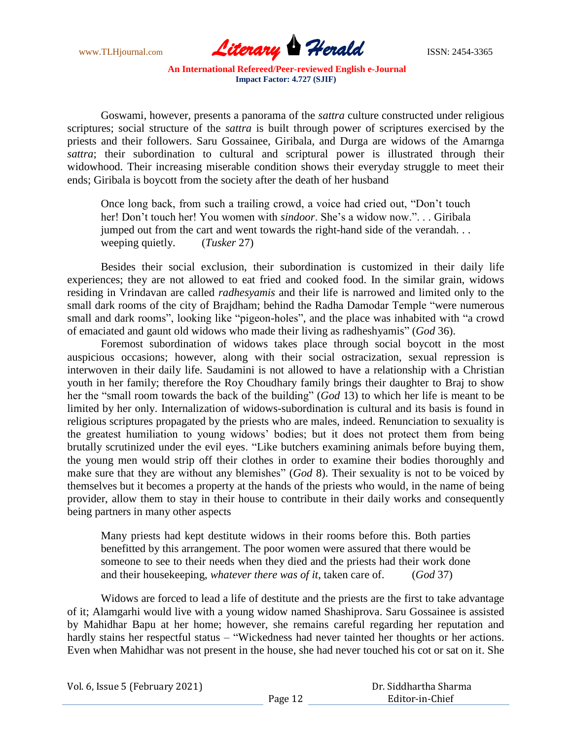

Goswami, however, presents a panorama of the *sattra* culture constructed under religious scriptures; social structure of the *sattra* is built through power of scriptures exercised by the priests and their followers. Saru Gossainee, Giribala, and Durga are widows of the Amarnga *sattra*; their subordination to cultural and scriptural power is illustrated through their widowhood. Their increasing miserable condition shows their everyday struggle to meet their ends; Giribala is boycott from the society after the death of her husband

Once long back, from such a trailing crowd, a voice had cried out, "Don"t touch her! Don't touch her! You women with *sindoor*. She's a widow now."... Giribala jumped out from the cart and went towards the right-hand side of the verandah. . . weeping quietly. (*Tusker* 27)

Besides their social exclusion, their subordination is customized in their daily life experiences; they are not allowed to eat fried and cooked food. In the similar grain, widows residing in Vrindavan are called *radhesyamis* and their life is narrowed and limited only to the small dark rooms of the city of Brajdham; behind the Radha Damodar Temple "were numerous small and dark rooms", looking like "pigeon-holes", and the place was inhabited with "a crowd of emaciated and gaunt old widows who made their living as radheshyamis" (*God* 36).

Foremost subordination of widows takes place through social boycott in the most auspicious occasions; however, along with their social ostracization, sexual repression is interwoven in their daily life. Saudamini is not allowed to have a relationship with a Christian youth in her family; therefore the Roy Choudhary family brings their daughter to Braj to show her the "small room towards the back of the building" (*God* 13) to which her life is meant to be limited by her only. Internalization of widows-subordination is cultural and its basis is found in religious scriptures propagated by the priests who are males, indeed. Renunciation to sexuality is the greatest humiliation to young widows" bodies; but it does not protect them from being brutally scrutinized under the evil eyes. "Like butchers examining animals before buying them, the young men would strip off their clothes in order to examine their bodies thoroughly and make sure that they are without any blemishes" (*God* 8). Their sexuality is not to be voiced by themselves but it becomes a property at the hands of the priests who would, in the name of being provider, allow them to stay in their house to contribute in their daily works and consequently being partners in many other aspects

Many priests had kept destitute widows in their rooms before this. Both parties benefitted by this arrangement. The poor women were assured that there would be someone to see to their needs when they died and the priests had their work done and their housekeeping, *whatever there was of it*, taken care of. (*God* 37)

Widows are forced to lead a life of destitute and the priests are the first to take advantage of it; Alamgarhi would live with a young widow named Shashiprova. Saru Gossainee is assisted by Mahidhar Bapu at her home; however, she remains careful regarding her reputation and hardly stains her respectful status – "Wickedness had never tainted her thoughts or her actions. Even when Mahidhar was not present in the house, she had never touched his cot or sat on it. She

| Vol. 6, Issue 5 (February 2021) |         | Dr. Siddhartha Sharma |  |
|---------------------------------|---------|-----------------------|--|
|                                 | Page 12 | Editor-in-Chief       |  |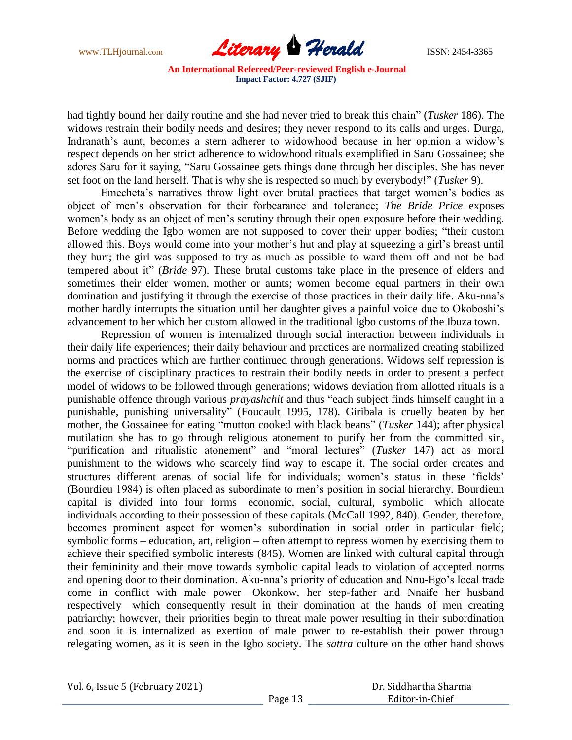

had tightly bound her daily routine and she had never tried to break this chain" (*Tusker* 186). The widows restrain their bodily needs and desires; they never respond to its calls and urges. Durga, Indranath's aunt, becomes a stern adherer to widowhood because in her opinion a widow's respect depends on her strict adherence to widowhood rituals exemplified in Saru Gossainee; she adores Saru for it saying, "Saru Gossainee gets things done through her disciples. She has never set foot on the land herself. That is why she is respected so much by everybody!" (*Tusker* 9).

Emecheta"s narratives throw light over brutal practices that target women"s bodies as object of men"s observation for their forbearance and tolerance; *The Bride Price* exposes women's body as an object of men's scrutiny through their open exposure before their wedding. Before wedding the Igbo women are not supposed to cover their upper bodies; "their custom allowed this. Boys would come into your mother's hut and play at squeezing a girl's breast until they hurt; the girl was supposed to try as much as possible to ward them off and not be bad tempered about it" (*Bride* 97). These brutal customs take place in the presence of elders and sometimes their elder women, mother or aunts; women become equal partners in their own domination and justifying it through the exercise of those practices in their daily life. Aku-nna"s mother hardly interrupts the situation until her daughter gives a painful voice due to Okoboshi"s advancement to her which her custom allowed in the traditional Igbo customs of the Ibuza town.

Repression of women is internalized through social interaction between individuals in their daily life experiences; their daily behaviour and practices are normalized creating stabilized norms and practices which are further continued through generations. Widows self repression is the exercise of disciplinary practices to restrain their bodily needs in order to present a perfect model of widows to be followed through generations; widows deviation from allotted rituals is a punishable offence through various *prayashchit* and thus "each subject finds himself caught in a punishable, punishing universality" (Foucault 1995, 178). Giribala is cruelly beaten by her mother, the Gossainee for eating "mutton cooked with black beans" (*Tusker* 144); after physical mutilation she has to go through religious atonement to purify her from the committed sin, "purification and ritualistic atonement" and "moral lectures" (*Tusker* 147) act as moral punishment to the widows who scarcely find way to escape it. The social order creates and structures different arenas of social life for individuals; women"s status in these "fields" (Bourdieu 1984) is often placed as subordinate to men"s position in social hierarchy. Bourdieun capital is divided into four forms––economic, social, cultural, symbolic––which allocate individuals according to their possession of these capitals (McCall 1992, 840). Gender, therefore, becomes prominent aspect for women"s subordination in social order in particular field; symbolic forms – education, art, religion – often attempt to repress women by exercising them to achieve their specified symbolic interests (845). Women are linked with cultural capital through their femininity and their move towards symbolic capital leads to violation of accepted norms and opening door to their domination. Aku-nna"s priority of education and Nnu-Ego"s local trade come in conflict with male power––Okonkow, her step-father and Nnaife her husband respectively––which consequently result in their domination at the hands of men creating patriarchy; however, their priorities begin to threat male power resulting in their subordination and soon it is internalized as exertion of male power to re-establish their power through relegating women, as it is seen in the Igbo society. The *sattra* culture on the other hand shows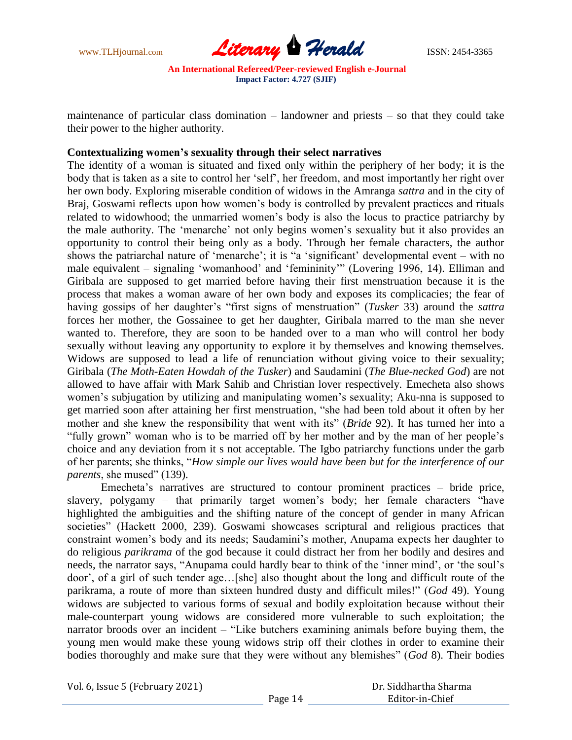

maintenance of particular class domination – landowner and priests – so that they could take their power to the higher authority.

## **Contextualizing women's sexuality through their select narratives**

The identity of a woman is situated and fixed only within the periphery of her body; it is the body that is taken as a site to control her "self", her freedom, and most importantly her right over her own body. Exploring miserable condition of widows in the Amranga *sattra* and in the city of Braj, Goswami reflects upon how women's body is controlled by prevalent practices and rituals related to widowhood; the unmarried women's body is also the locus to practice patriarchy by the male authority. The "menarche" not only begins women"s sexuality but it also provides an opportunity to control their being only as a body. Through her female characters, the author shows the patriarchal nature of 'menarche'; it is "a 'significant' developmental event – with no male equivalent – signaling "womanhood" and "femininity"" (Lovering 1996, 14). Elliman and Giribala are supposed to get married before having their first menstruation because it is the process that makes a woman aware of her own body and exposes its complicacies; the fear of having gossips of her daughter"s "first signs of menstruation" (*Tusker* 33) around the *sattra* forces her mother, the Gossainee to get her daughter, Giribala marred to the man she never wanted to. Therefore, they are soon to be handed over to a man who will control her body sexually without leaving any opportunity to explore it by themselves and knowing themselves. Widows are supposed to lead a life of renunciation without giving voice to their sexuality; Giribala (*The Moth-Eaten Howdah of the Tusker*) and Saudamini (*The Blue-necked God*) are not allowed to have affair with Mark Sahib and Christian lover respectively. Emecheta also shows women's subjugation by utilizing and manipulating women's sexuality; Aku-nna is supposed to get married soon after attaining her first menstruation, "she had been told about it often by her mother and she knew the responsibility that went with its" (*Bride* 92). It has turned her into a "fully grown" woman who is to be married off by her mother and by the man of her people"s choice and any deviation from it s not acceptable. The Igbo patriarchy functions under the garb of her parents; she thinks, "*How simple our lives would have been but for the interference of our parents*, she mused" (139).

Emecheta"s narratives are structured to contour prominent practices – bride price, slavery, polygamy – that primarily target women's body; her female characters "have highlighted the ambiguities and the shifting nature of the concept of gender in many African societies" (Hackett 2000, 239). Goswami showcases scriptural and religious practices that constraint women"s body and its needs; Saudamini"s mother, Anupama expects her daughter to do religious *parikrama* of the god because it could distract her from her bodily and desires and needs, the narrator says, "Anupama could hardly bear to think of the "inner mind", or "the soul"s door", of a girl of such tender age…[she] also thought about the long and difficult route of the parikrama, a route of more than sixteen hundred dusty and difficult miles!" (*God* 49). Young widows are subjected to various forms of sexual and bodily exploitation because without their male-counterpart young widows are considered more vulnerable to such exploitation; the narrator broods over an incident – "Like butchers examining animals before buying them, the young men would make these young widows strip off their clothes in order to examine their bodies thoroughly and make sure that they were without any blemishes" (*God* 8). Their bodies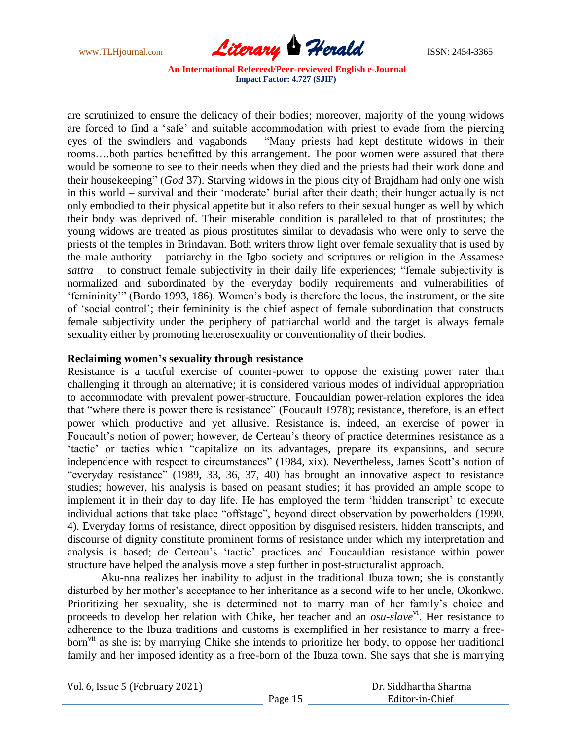

are scrutinized to ensure the delicacy of their bodies; moreover, majority of the young widows are forced to find a "safe" and suitable accommodation with priest to evade from the piercing eyes of the swindlers and vagabonds – "Many priests had kept destitute widows in their rooms….both parties benefitted by this arrangement. The poor women were assured that there would be someone to see to their needs when they died and the priests had their work done and their housekeeping" (*God* 37). Starving widows in the pious city of Brajdham had only one wish in this world – survival and their "moderate" burial after their death; their hunger actually is not only embodied to their physical appetite but it also refers to their sexual hunger as well by which their body was deprived of. Their miserable condition is paralleled to that of prostitutes; the young widows are treated as pious prostitutes similar to devadasis who were only to serve the priests of the temples in Brindavan. Both writers throw light over female sexuality that is used by the male authority – patriarchy in the Igbo society and scriptures or religion in the Assamese *sattra* – to construct female subjectivity in their daily life experiences; "female subjectivity is normalized and subordinated by the everyday bodily requirements and vulnerabilities of "femininity"" (Bordo 1993, 186). Women"s body is therefore the locus, the instrument, or the site of "social control"; their femininity is the chief aspect of female subordination that constructs female subjectivity under the periphery of patriarchal world and the target is always female sexuality either by promoting heterosexuality or conventionality of their bodies.

### **Reclaiming women's sexuality through resistance**

Resistance is a tactful exercise of counter-power to oppose the existing power rater than challenging it through an alternative; it is considered various modes of individual appropriation to accommodate with prevalent power-structure. Foucauldian power-relation explores the idea that "where there is power there is resistance" (Foucault 1978); resistance, therefore, is an effect power which productive and yet allusive. Resistance is, indeed, an exercise of power in Foucault's notion of power; however, de Certeau's theory of practice determines resistance as a 'tactic' or tactics which "capitalize on its advantages, prepare its expansions, and secure independence with respect to circumstances" (1984, xix). Nevertheless, James Scott's notion of "everyday resistance" (1989, 33, 36, 37, 40) has brought an innovative aspect to resistance studies; however, his analysis is based on peasant studies; it has provided an ample scope to implement it in their day to day life. He has employed the term 'hidden transcript' to execute individual actions that take place "offstage", beyond direct observation by powerholders (1990, 4). Everyday forms of resistance, direct opposition by disguised resisters, hidden transcripts, and discourse of dignity constitute prominent forms of resistance under which my interpretation and analysis is based; de Certeau"s "tactic" practices and Foucauldian resistance within power structure have helped the analysis move a step further in post-structuralist approach.

Aku-nna realizes her inability to adjust in the traditional Ibuza town; she is constantly disturbed by her mother"s acceptance to her inheritance as a second wife to her uncle, Okonkwo. Prioritizing her sexuality, she is determined not to marry man of her family"s choice and proceeds to develop her relation with Chike, her teacher and an *osu-slave*<sup>vi</sup>. Her resistance to adherence to the Ibuza traditions and customs is exemplified in her resistance to marry a freeborn<sup>vii</sup> as she is; by marrying Chike she intends to prioritize her body, to oppose her traditional family and her imposed identity as a free-born of the Ibuza town. She says that she is marrying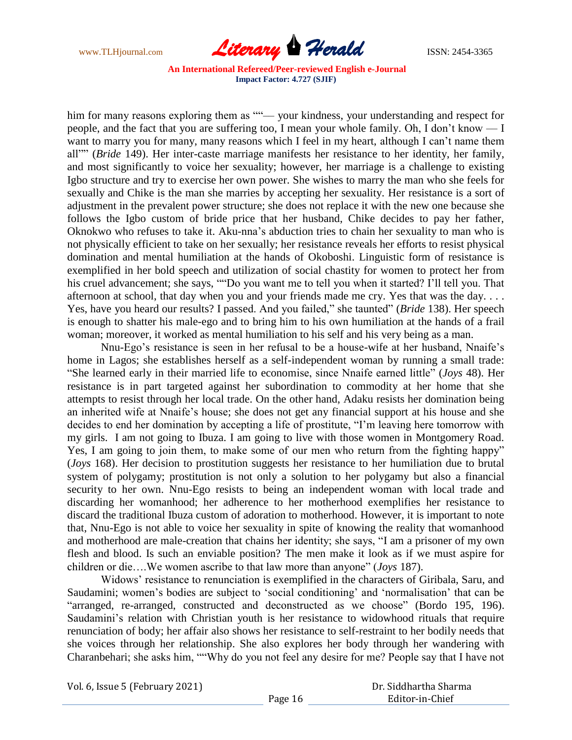

him for many reasons exploring them as ""— your kindness, your understanding and respect for people, and the fact that you are suffering too, I mean your whole family. Oh, I don"t know –– I want to marry you for many, many reasons which I feel in my heart, although I can't name them all"" (*Bride* 149). Her inter-caste marriage manifests her resistance to her identity, her family, and most significantly to voice her sexuality; however, her marriage is a challenge to existing Igbo structure and try to exercise her own power. She wishes to marry the man who she feels for sexually and Chike is the man she marries by accepting her sexuality. Her resistance is a sort of adjustment in the prevalent power structure; she does not replace it with the new one because she follows the Igbo custom of bride price that her husband, Chike decides to pay her father, Oknokwo who refuses to take it. Aku-nna"s abduction tries to chain her sexuality to man who is not physically efficient to take on her sexually; her resistance reveals her efforts to resist physical domination and mental humiliation at the hands of Okoboshi. Linguistic form of resistance is exemplified in her bold speech and utilization of social chastity for women to protect her from his cruel advancement; she says, ""Do you want me to tell you when it started? I'll tell you. That afternoon at school, that day when you and your friends made me cry. Yes that was the day. . . . Yes, have you heard our results? I passed. And you failed," she taunted" (*Bride* 138). Her speech is enough to shatter his male-ego and to bring him to his own humiliation at the hands of a frail woman; moreover, it worked as mental humiliation to his self and his very being as a man.

Nnu-Ego"s resistance is seen in her refusal to be a house-wife at her husband, Nnaife"s home in Lagos; she establishes herself as a self-independent woman by running a small trade: "She learned early in their married life to economise, since Nnaife earned little" (*Joys* 48). Her resistance is in part targeted against her subordination to commodity at her home that she attempts to resist through her local trade. On the other hand, Adaku resists her domination being an inherited wife at Nnaife"s house; she does not get any financial support at his house and she decides to end her domination by accepting a life of prostitute, "I"m leaving here tomorrow with my girls. I am not going to Ibuza. I am going to live with those women in Montgomery Road. Yes, I am going to join them, to make some of our men who return from the fighting happy" (*Joys* 168). Her decision to prostitution suggests her resistance to her humiliation due to brutal system of polygamy; prostitution is not only a solution to her polygamy but also a financial security to her own. Nnu-Ego resists to being an independent woman with local trade and discarding her womanhood; her adherence to her motherhood exemplifies her resistance to discard the traditional Ibuza custom of adoration to motherhood. However, it is important to note that, Nnu-Ego is not able to voice her sexuality in spite of knowing the reality that womanhood and motherhood are male-creation that chains her identity; she says, "I am a prisoner of my own flesh and blood. Is such an enviable position? The men make it look as if we must aspire for children or die….We women ascribe to that law more than anyone" (*Joys* 187).

Widows" resistance to renunciation is exemplified in the characters of Giribala, Saru, and Saudamini; women's bodies are subject to 'social conditioning' and 'normalisation' that can be "arranged, re-arranged, constructed and deconstructed as we choose" (Bordo 195, 196). Saudamini's relation with Christian youth is her resistance to widowhood rituals that require renunciation of body; her affair also shows her resistance to self-restraint to her bodily needs that she voices through her relationship. She also explores her body through her wandering with Charanbehari; she asks him, ""Why do you not feel any desire for me? People say that I have not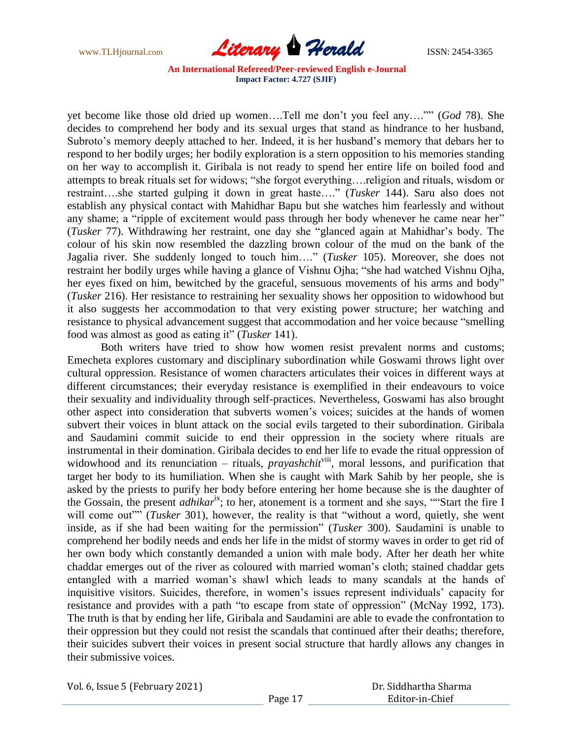

yet become like those old dried up women….Tell me don"t you feel any…."" (*God* 78). She decides to comprehend her body and its sexual urges that stand as hindrance to her husband, Subroto's memory deeply attached to her. Indeed, it is her husband's memory that debars her to respond to her bodily urges; her bodily exploration is a stern opposition to his memories standing on her way to accomplish it. Giribala is not ready to spend her entire life on boiled food and attempts to break rituals set for widows; "she forgot everything….religion and rituals, wisdom or restraint….she started gulping it down in great haste…." (*Tusker* 144). Saru also does not establish any physical contact with Mahidhar Bapu but she watches him fearlessly and without any shame; a "ripple of excitement would pass through her body whenever he came near her" (*Tusker* 77). Withdrawing her restraint, one day she "glanced again at Mahidhar"s body. The colour of his skin now resembled the dazzling brown colour of the mud on the bank of the Jagalia river. She suddenly longed to touch him…." (*Tusker* 105). Moreover, she does not restraint her bodily urges while having a glance of Vishnu Ojha; "she had watched Vishnu Ojha, her eyes fixed on him, bewitched by the graceful, sensuous movements of his arms and body" (*Tusker* 216). Her resistance to restraining her sexuality shows her opposition to widowhood but it also suggests her accommodation to that very existing power structure; her watching and resistance to physical advancement suggest that accommodation and her voice because "smelling food was almost as good as eating it" (*Tusker* 141).

Both writers have tried to show how women resist prevalent norms and customs; Emecheta explores customary and disciplinary subordination while Goswami throws light over cultural oppression. Resistance of women characters articulates their voices in different ways at different circumstances; their everyday resistance is exemplified in their endeavours to voice their sexuality and individuality through self-practices. Nevertheless, Goswami has also brought other aspect into consideration that subverts women"s voices; suicides at the hands of women subvert their voices in blunt attack on the social evils targeted to their subordination. Giribala and Saudamini commit suicide to end their oppression in the society where rituals are instrumental in their domination. Giribala decides to end her life to evade the ritual oppression of widowhood and its renunciation – rituals, *prayashchit*<sup>viii</sup>, moral lessons, and purification that target her body to its humiliation. When she is caught with Mark Sahib by her people, she is asked by the priests to purify her body before entering her home because she is the daughter of the Gossain, the present *adhikar*ix; to her, atonement is a torment and she says, ""Start the fire I will come out<sup>""</sup> (*Tusker* 301), however, the reality is that "without a word, quietly, she went inside, as if she had been waiting for the permission" (*Tusker* 300). Saudamini is unable to comprehend her bodily needs and ends her life in the midst of stormy waves in order to get rid of her own body which constantly demanded a union with male body. After her death her white chaddar emerges out of the river as coloured with married woman"s cloth; stained chaddar gets entangled with a married woman"s shawl which leads to many scandals at the hands of inquisitive visitors. Suicides, therefore, in women"s issues represent individuals" capacity for resistance and provides with a path "to escape from state of oppression" (McNay 1992, 173). The truth is that by ending her life, Giribala and Saudamini are able to evade the confrontation to their oppression but they could not resist the scandals that continued after their deaths; therefore, their suicides subvert their voices in present social structure that hardly allows any changes in their submissive voices.

Vol. 6, Issue 5 (February 2021)

 Dr. Siddhartha Sharma Editor-in-Chief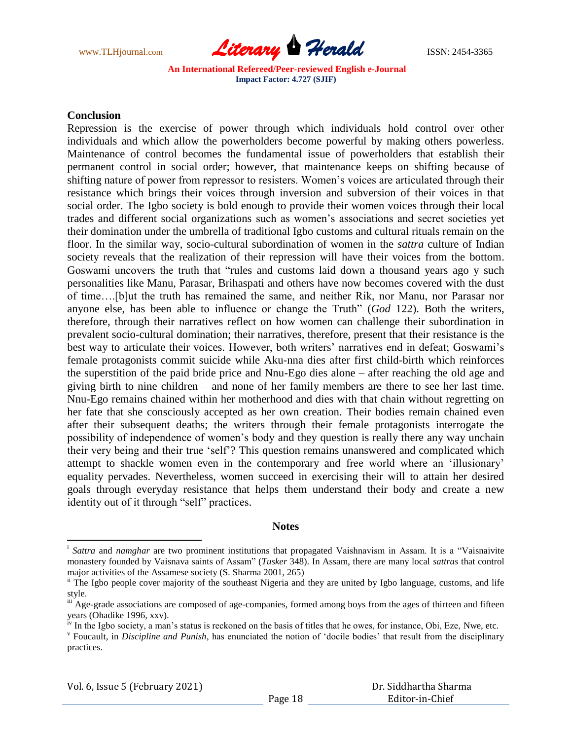

#### **Conclusion**

Repression is the exercise of power through which individuals hold control over other individuals and which allow the powerholders become powerful by making others powerless. Maintenance of control becomes the fundamental issue of powerholders that establish their permanent control in social order; however, that maintenance keeps on shifting because of shifting nature of power from repressor to resisters. Women"s voices are articulated through their resistance which brings their voices through inversion and subversion of their voices in that social order. The Igbo society is bold enough to provide their women voices through their local trades and different social organizations such as women"s associations and secret societies yet their domination under the umbrella of traditional Igbo customs and cultural rituals remain on the floor. In the similar way, socio-cultural subordination of women in the *sattra* culture of Indian society reveals that the realization of their repression will have their voices from the bottom. Goswami uncovers the truth that "rules and customs laid down a thousand years ago y such personalities like Manu, Parasar, Brihaspati and others have now becomes covered with the dust of time….[b]ut the truth has remained the same, and neither Rik, nor Manu, nor Parasar nor anyone else, has been able to influence or change the Truth" (*God* 122). Both the writers, therefore, through their narratives reflect on how women can challenge their subordination in prevalent socio-cultural domination; their narratives, therefore, present that their resistance is the best way to articulate their voices. However, both writers' narratives end in defeat; Goswami's female protagonists commit suicide while Aku-nna dies after first child-birth which reinforces the superstition of the paid bride price and Nnu-Ego dies alone – after reaching the old age and giving birth to nine children – and none of her family members are there to see her last time. Nnu-Ego remains chained within her motherhood and dies with that chain without regretting on her fate that she consciously accepted as her own creation. Their bodies remain chained even after their subsequent deaths; the writers through their female protagonists interrogate the possibility of independence of women"s body and they question is really there any way unchain their very being and their true "self"? This question remains unanswered and complicated which attempt to shackle women even in the contemporary and free world where an "illusionary" equality pervades. Nevertheless, women succeed in exercising their will to attain her desired goals through everyday resistance that helps them understand their body and create a new identity out of it through "self" practices.

#### **Notes**

l

<sup>&</sup>lt;sup>i</sup> Sattra and *namghar* are two prominent institutions that propagated Vaishnavism in Assam. It is a "Vaisnaivite monastery founded by Vaisnava saints of Assam" (*Tusker* 348). In Assam, there are many local *sattras* that control major activities of the Assamese society (S. Sharma 2001, 265)

<sup>&</sup>lt;sup>ii</sup> The Igbo people cover majority of the southeast Nigeria and they are united by Igbo language, customs, and life style.

iii Age-grade associations are composed of age-companies, formed among boys from the ages of thirteen and fifteen years (Ohadike 1996, xxv).

<sup>&</sup>lt;sup>iv</sup> In the Igbo society, a man's status is reckoned on the basis of titles that he owes, for instance, Obi, Eze, Nwe, etc.

v Foucault, in *Discipline and Punish*, has enunciated the notion of "docile bodies" that result from the disciplinary practices.